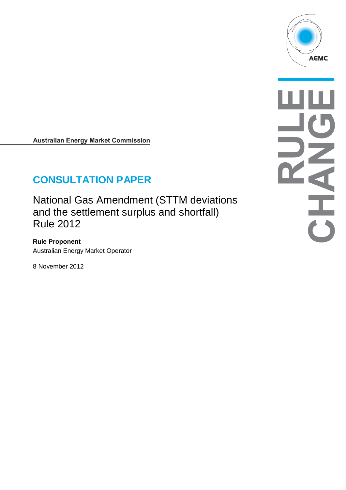

**Australian Energy Market Commission** 

# **CONSULTATION PAPER**

National Gas Amendment (STTM deviations and the settlement surplus and shortfall) Rule 2012

**Rule Proponent** Australian Energy Market Operator

8 November 2012

CHALL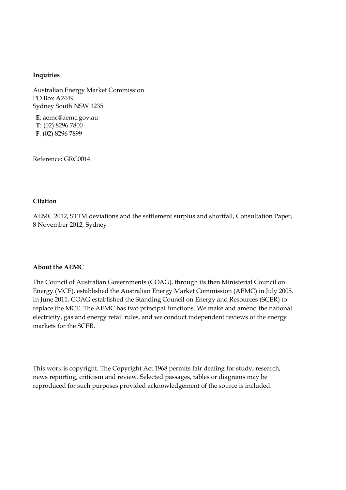#### **Inquiries**

Australian Energy Market Commission PO Box A2449 Sydney South NSW 1235

**E**: aemc@aemc.gov.au **T**: (02) 8296 7800 **F**: (02) 8296 7899

Reference: GRC0014

#### **Citation**

AEMC 2012, STTM deviations and the settlement surplus and shortfall, Consultation Paper, 8 November 2012, Sydney

#### **About the AEMC**

The Council of Australian Governments (COAG), through its then Ministerial Council on Energy (MCE), established the Australian Energy Market Commission (AEMC) in July 2005. In June 2011, COAG established the Standing Council on Energy and Resources (SCER) to replace the MCE. The AEMC has two principal functions. We make and amend the national electricity, gas and energy retail rules, and we conduct independent reviews of the energy markets for the SCER.

This work is copyright. The Copyright Act 1968 permits fair dealing for study, research, news reporting, criticism and review. Selected passages, tables or diagrams may be reproduced for such purposes provided acknowledgement of the source is included.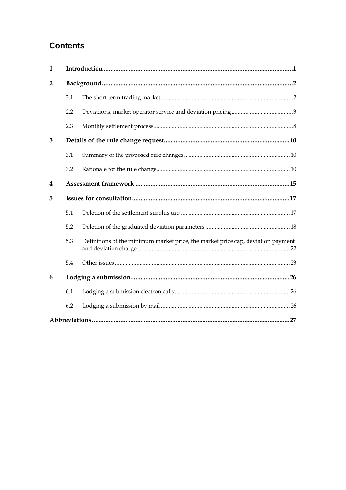# **Contents**

| $\mathbf{1}$   |     |                                                                                  |  |  |
|----------------|-----|----------------------------------------------------------------------------------|--|--|
| $\overline{2}$ |     |                                                                                  |  |  |
|                | 2.1 |                                                                                  |  |  |
|                | 2.2 |                                                                                  |  |  |
|                | 2.3 |                                                                                  |  |  |
| 3              |     |                                                                                  |  |  |
|                | 3.1 |                                                                                  |  |  |
|                | 3.2 |                                                                                  |  |  |
| 4              |     |                                                                                  |  |  |
| 5              |     |                                                                                  |  |  |
|                | 5.1 |                                                                                  |  |  |
|                | 5.2 |                                                                                  |  |  |
|                | 5.3 | Definitions of the minimum market price, the market price cap, deviation payment |  |  |
|                | 5.4 |                                                                                  |  |  |
| 6              |     |                                                                                  |  |  |
|                | 6.1 |                                                                                  |  |  |
|                | 6.2 |                                                                                  |  |  |
|                |     | 27                                                                               |  |  |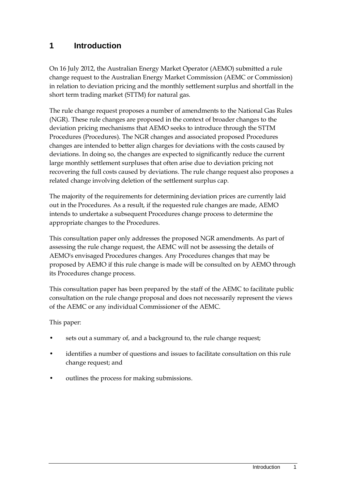# <span id="page-4-0"></span>**1 Introduction**

On 16 July 2012, the Australian Energy Market Operator (AEMO) submitted a rule change request to the Australian Energy Market Commission (AEMC or Commission) in relation to deviation pricing and the monthly settlement surplus and shortfall in the short term trading market (STTM) for natural gas.

The rule change request proposes a number of amendments to the National Gas Rules (NGR). These rule changes are proposed in the context of broader changes to the deviation pricing mechanisms that AEMO seeks to introduce through the STTM Procedures (Procedures). The NGR changes and associated proposed Procedures changes are intended to better align charges for deviations with the costs caused by deviations. In doing so, the changes are expected to significantly reduce the current large monthly settlement surpluses that often arise due to deviation pricing not recovering the full costs caused by deviations. The rule change request also proposes a related change involving deletion of the settlement surplus cap.

The majority of the requirements for determining deviation prices are currently laid out in the Procedures. As a result, if the requested rule changes are made, AEMO intends to undertake a subsequent Procedures change process to determine the appropriate changes to the Procedures.

This consultation paper only addresses the proposed NGR amendments. As part of assessing the rule change request, the AEMC will not be assessing the details of AEMO's envisaged Procedures changes. Any Procedures changes that may be proposed by AEMO if this rule change is made will be consulted on by AEMO through its Procedures change process.

This consultation paper has been prepared by the staff of the AEMC to facilitate public consultation on the rule change proposal and does not necessarily represent the views of the AEMC or any individual Commissioner of the AEMC.

This paper:

- sets out a summary of, and a background to, the rule change request;
- identifies a number of questions and issues to facilitate consultation on this rule change request; and
- outlines the process for making submissions.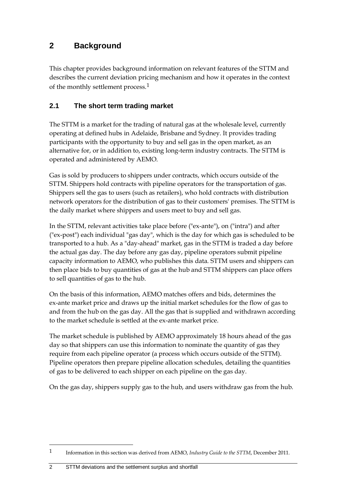# <span id="page-5-0"></span>**2 Background**

This chapter provides background information on relevant features of the STTM and describes the current deviation pricing mechanism and how it operates in the context of the monthly settlement process.[1](#page-5-2)

# <span id="page-5-1"></span>**2.1 The short term trading market**

The STTM is a market for the trading of natural gas at the wholesale level, currently operating at defined hubs in Adelaide, Brisbane and Sydney. It provides trading participants with the opportunity to buy and sell gas in the open market, as an alternative for, or in addition to, existing long-term industry contracts. The STTM is operated and administered by AEMO.

Gas is sold by producers to shippers under contracts, which occurs outside of the STTM. Shippers hold contracts with pipeline operators for the transportation of gas. Shippers sell the gas to users (such as retailers), who hold contracts with distribution network operators for the distribution of gas to their customers' premises. The STTM is the daily market where shippers and users meet to buy and sell gas.

In the STTM, relevant activities take place before ("ex-ante"), on ("intra") and after ("ex-post") each individual "gas day", which is the day for which gas is scheduled to be transported to a hub. As a "day-ahead" market, gas in the STTM is traded a day before the actual gas day. The day before any gas day, pipeline operators submit pipeline capacity information to AEMO, who publishes this data. STTM users and shippers can then place bids to buy quantities of gas at the hub and STTM shippers can place offers to sell quantities of gas to the hub.

On the basis of this information, AEMO matches offers and bids, determines the ex-ante market price and draws up the initial market schedules for the flow of gas to and from the hub on the gas day. All the gas that is supplied and withdrawn according to the market schedule is settled at the ex-ante market price.

The market schedule is published by AEMO approximately 18 hours ahead of the gas day so that shippers can use this information to nominate the quantity of gas they require from each pipeline operator (a process which occurs outside of the STTM). Pipeline operators then prepare pipeline allocation schedules, detailing the quantities of gas to be delivered to each shipper on each pipeline on the gas day.

On the gas day, shippers supply gas to the hub, and users withdraw gas from the hub.

<span id="page-5-2"></span><sup>1</sup> Information in this section was derived from AEMO, *Industry Guide to the STTM*, December 2011.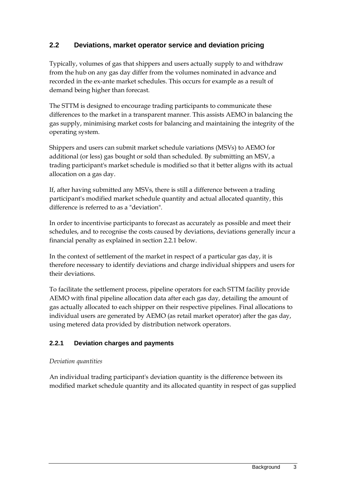# <span id="page-6-0"></span>**2.2 Deviations, market operator service and deviation pricing**

Typically, volumes of gas that shippers and users actually supply to and withdraw from the hub on any gas day differ from the volumes nominated in advance and recorded in the ex-ante market schedules. This occurs for example as a result of demand being higher than forecast.

The STTM is designed to encourage trading participants to communicate these differences to the market in a transparent manner. This assists AEMO in balancing the gas supply, minimising market costs for balancing and maintaining the integrity of the operating system.

Shippers and users can submit market schedule variations (MSVs) to AEMO for additional (or less) gas bought or sold than scheduled. By submitting an MSV, a trading participant's market schedule is modified so that it better aligns with its actual allocation on a gas day.

If, after having submitted any MSVs, there is still a difference between a trading participant's modified market schedule quantity and actual allocated quantity, this difference is referred to as a "deviation".

In order to incentivise participants to forecast as accurately as possible and meet their schedules, and to recognise the costs caused by deviations, deviations generally incur a financial penalty as explained in section 2.2.1 below.

In the context of settlement of the market in respect of a particular gas day, it is therefore necessary to identify deviations and charge individual shippers and users for their deviations.

To facilitate the settlement process, pipeline operators for each STTM facility provide AEMO with final pipeline allocation data after each gas day, detailing the amount of gas actually allocated to each shipper on their respective pipelines. Final allocations to individual users are generated by AEMO (as retail market operator) after the gas day, using metered data provided by distribution network operators.

# **2.2.1 Deviation charges and payments**

### *Deviation quantities*

An individual trading participant's deviation quantity is the difference between its modified market schedule quantity and its allocated quantity in respect of gas supplied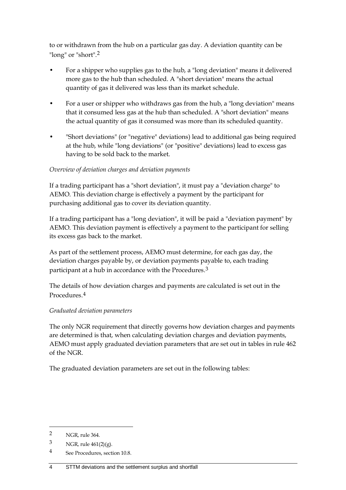to or withdrawn from the hub on a particular gas day. A deviation quantity can be "long" or "short".[2](#page-7-0)

- For a shipper who supplies gas to the hub, a "long deviation" means it delivered more gas to the hub than scheduled. A "short deviation" means the actual quantity of gas it delivered was less than its market schedule.
- For a user or shipper who withdraws gas from the hub, a "long deviation" means that it consumed less gas at the hub than scheduled. A "short deviation" means the actual quantity of gas it consumed was more than its scheduled quantity.
- "Short deviations" (or "negative" deviations) lead to additional gas being required at the hub, while "long deviations" (or "positive" deviations) lead to excess gas having to be sold back to the market.

### *Overview of deviation charges and deviation payments*

If a trading participant has a "short deviation", it must pay a "deviation charge" to AEMO. This deviation charge is effectively a payment by the participant for purchasing additional gas to cover its deviation quantity.

If a trading participant has a "long deviation", it will be paid a "deviation payment" by AEMO. This deviation payment is effectively a payment to the participant for selling its excess gas back to the market.

As part of the settlement process, AEMO must determine, for each gas day, the deviation charges payable by, or deviation payments payable to, each trading participant at a hub in accordance with the Procedures.[3](#page-7-1)

The details of how deviation charges and payments are calculated is set out in the Procedures.[4](#page-7-2)

#### *Graduated deviation parameters*

The only NGR requirement that directly governs how deviation charges and payments are determined is that, when calculating deviation charges and deviation payments, AEMO must apply graduated deviation parameters that are set out in tables in rule 462 of the NGR.

The graduated deviation parameters are set out in the following tables:

<span id="page-7-0"></span><sup>2</sup> NGR, rule 364.

<span id="page-7-1"></span> $3$  NGR, rule  $461(2)(g)$ .

<span id="page-7-2"></span><sup>4</sup> See Procedures, section 10.8.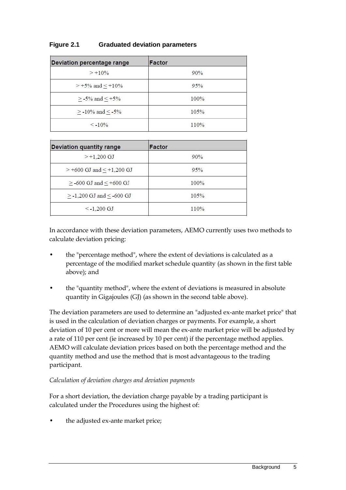| Deviation percentage range | Factor |
|----------------------------|--------|
| $> +10\%$                  | 90%    |
| $> +5\%$ and $\leq +10\%$  | 95%    |
| $\geq$ -5% and $\leq$ +5%  | 100%   |
| $>$ -10% and $\le$ -5%     | 105%   |
| $\leq -10\%$               | 110%   |

### **Figure 2.1 Graduated deviation parameters**

| <b>Deviation quantity range</b>     | Factor |  |
|-------------------------------------|--------|--|
| $> +1.200$ GJ                       | 90%    |  |
| $> +600$ GJ and $\le +1,200$ GJ     | 95%    |  |
| $>$ -600 GJ and $<$ +600 GJ         | 100%   |  |
| $\geq$ -1,200 GJ and $\leq$ -600 GJ | 105%   |  |
| $\le$ -1.200 GJ                     | 110%   |  |

In accordance with these deviation parameters, AEMO currently uses two methods to calculate deviation pricing:

- the "percentage method", where the extent of deviations is calculated as a percentage of the modified market schedule quantity (as shown in the first table above); and
- the "quantity method", where the extent of deviations is measured in absolute quantity in Gigajoules (GJ) (as shown in the second table above).

The deviation parameters are used to determine an "adjusted ex-ante market price" that is used in the calculation of deviation charges or payments. For example, a short deviation of 10 per cent or more will mean the ex-ante market price will be adjusted by a rate of 110 per cent (ie increased by 10 per cent) if the percentage method applies. AEMO will calculate deviation prices based on both the percentage method and the quantity method and use the method that is most advantageous to the trading participant.

#### *Calculation of deviation charges and deviation payments*

For a short deviation, the deviation charge payable by a trading participant is calculated under the Procedures using the highest of:

the adjusted ex-ante market price;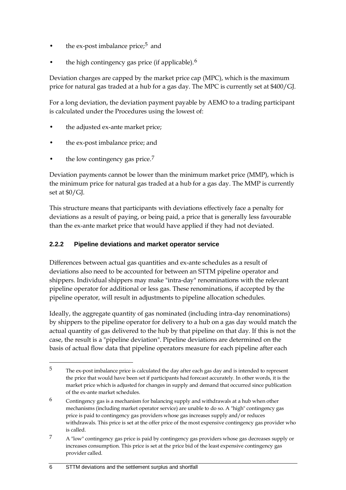- the ex-post imbalance price; $5$  and
- the high contingency gas price (if applicable). $6$

Deviation charges are capped by the market price cap (MPC), which is the maximum price for natural gas traded at a hub for a gas day. The MPC is currently set at \$400/GJ.

For a long deviation, the deviation payment payable by AEMO to a trading participant is calculated under the Procedures using the lowest of:

- the adjusted ex-ante market price;
- the ex-post imbalance price; and
- the low contingency gas price. $<sup>7</sup>$  $<sup>7</sup>$  $<sup>7</sup>$ </sup>

 $\overline{a}$ 

Deviation payments cannot be lower than the minimum market price (MMP), which is the minimum price for natural gas traded at a hub for a gas day. The MMP is currently set at \$0/GJ.

This structure means that participants with deviations effectively face a penalty for deviations as a result of paying, or being paid, a price that is generally less favourable than the ex-ante market price that would have applied if they had not deviated.

# **2.2.2 Pipeline deviations and market operator service**

Differences between actual gas quantities and ex-ante schedules as a result of deviations also need to be accounted for between an STTM pipeline operator and shippers. Individual shippers may make "intra-day" renominations with the relevant pipeline operator for additional or less gas. These renominations, if accepted by the pipeline operator, will result in adjustments to pipeline allocation schedules.

Ideally, the aggregate quantity of gas nominated (including intra-day renominations) by shippers to the pipeline operator for delivery to a hub on a gas day would match the actual quantity of gas delivered to the hub by that pipeline on that day. If this is not the case, the result is a "pipeline deviation". Pipeline deviations are determined on the basis of actual flow data that pipeline operators measure for each pipeline after each

<span id="page-9-0"></span><sup>5</sup> The ex-post imbalance price is calculated the day after each gas day and is intended to represent the price that would have been set if participants had forecast accurately. In other words, it is the market price which is adjusted for changes in supply and demand that occurred since publication of the ex-ante market schedules.

<span id="page-9-1"></span><sup>6</sup> Contingency gas is a mechanism for balancing supply and withdrawals at a hub when other mechanisms (including market operator service) are unable to do so. A "high" contingency gas price is paid to contingency gas providers whose gas increases supply and/or reduces withdrawals. This price is set at the offer price of the most expensive contingency gas provider who is called.

<span id="page-9-2"></span><sup>7</sup> A "low" contingency gas price is paid by contingency gas providers whose gas decreases supply or increases consumption. This price is set at the price bid of the least expensive contingency gas provider called.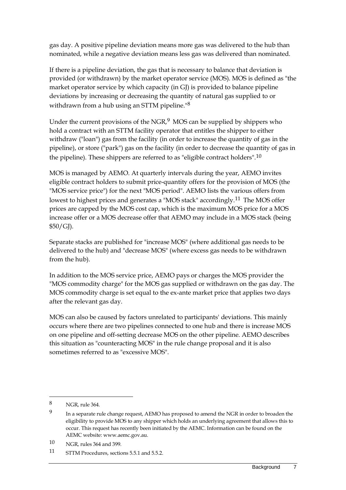gas day. A positive pipeline deviation means more gas was delivered to the hub than nominated, while a negative deviation means less gas was delivered than nominated.

If there is a pipeline deviation, the gas that is necessary to balance that deviation is provided (or withdrawn) by the market operator service (MOS). MOS is defined as "the market operator service by which capacity (in GJ) is provided to balance pipeline deviations by increasing or decreasing the quantity of natural gas supplied to or withdrawn from a hub using an STTM pipeline."[8](#page-10-0)

Under the current provisions of the  $NGR<sub>2</sub><sup>9</sup>$  $NGR<sub>2</sub><sup>9</sup>$  $NGR<sub>2</sub><sup>9</sup>$  MOS can be supplied by shippers who hold a contract with an STTM facility operator that entitles the shipper to either withdraw ("loan") gas from the facility (in order to increase the quantity of gas in the pipeline), or store ("park") gas on the facility (in order to decrease the quantity of gas in the pipeline). These shippers are referred to as "eligible contract holders".<sup>[10](#page-10-2)</sup>

MOS is managed by AEMO. At quarterly intervals during the year, AEMO invites eligible contract holders to submit price-quantity offers for the provision of MOS (the "MOS service price") for the next "MOS period". AEMO lists the various offers from lowest to highest prices and generates a "MOS stack" accordingly.[11](#page-10-3) The MOS offer prices are capped by the MOS cost cap, which is the maximum MOS price for a MOS increase offer or a MOS decrease offer that AEMO may include in a MOS stack (being \$50/GJ).

Separate stacks are published for "increase MOS" (where additional gas needs to be delivered to the hub) and "decrease MOS" (where excess gas needs to be withdrawn from the hub).

In addition to the MOS service price, AEMO pays or charges the MOS provider the "MOS commodity charge" for the MOS gas supplied or withdrawn on the gas day. The MOS commodity charge is set equal to the ex-ante market price that applies two days after the relevant gas day.

MOS can also be caused by factors unrelated to participants' deviations. This mainly occurs where there are two pipelines connected to one hub and there is increase MOS on one pipeline and off-setting decrease MOS on the other pipeline. AEMO describes this situation as "counteracting MOS" in the rule change proposal and it is also sometimes referred to as "excessive MOS".

<span id="page-10-0"></span><sup>8</sup> NGR, rule 364.

<span id="page-10-1"></span><sup>&</sup>lt;sup>9</sup> In a separate rule change request, AEMO has proposed to amend the NGR in order to broaden the eligibility to provide MOS to any shipper which holds an underlying agreement that allows this to occur. This request has recently been initiated by the AEMC. Information can be found on the AEMC website: www.aemc.gov.au.

<span id="page-10-2"></span><sup>10</sup> NGR, rules 364 and 399.

<span id="page-10-3"></span><sup>11</sup> STTM Procedures, sections 5.5.1 and 5.5.2.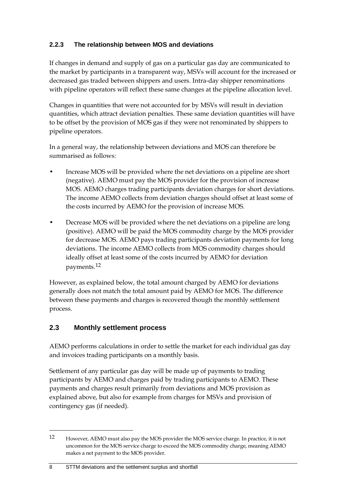### **2.2.3 The relationship between MOS and deviations**

If changes in demand and supply of gas on a particular gas day are communicated to the market by participants in a transparent way, MSVs will account for the increased or decreased gas traded between shippers and users. Intra-day shipper renominations with pipeline operators will reflect these same changes at the pipeline allocation level.

Changes in quantities that were not accounted for by MSVs will result in deviation quantities, which attract deviation penalties. These same deviation quantities will have to be offset by the provision of MOS gas if they were not renominated by shippers to pipeline operators.

In a general way, the relationship between deviations and MOS can therefore be summarised as follows:

- Increase MOS will be provided where the net deviations on a pipeline are short (negative). AEMO must pay the MOS provider for the provision of increase MOS. AEMO charges trading participants deviation charges for short deviations. The income AEMO collects from deviation charges should offset at least some of the costs incurred by AEMO for the provision of increase MOS.
- Decrease MOS will be provided where the net deviations on a pipeline are long (positive). AEMO will be paid the MOS commodity charge by the MOS provider for decrease MOS. AEMO pays trading participants deviation payments for long deviations. The income AEMO collects from MOS commodity charges should ideally offset at least some of the costs incurred by AEMO for deviation payments.[12](#page-11-1)

However, as explained below, the total amount charged by AEMO for deviations generally does not match the total amount paid by AEMO for MOS. The difference between these payments and charges is recovered though the monthly settlement process.

# <span id="page-11-0"></span>**2.3 Monthly settlement process**

AEMO performs calculations in order to settle the market for each individual gas day and invoices trading participants on a monthly basis.

Settlement of any particular gas day will be made up of payments to trading participants by AEMO and charges paid by trading participants to AEMO. These payments and charges result primarily from deviations and MOS provision as explained above, but also for example from charges for MSVs and provision of contingency gas (if needed).

#### 8 STTM deviations and the settlement surplus and shortfall

<span id="page-11-1"></span><sup>12</sup> However, AEMO must also pay the MOS provider the MOS service charge. In practice, it is not uncommon for the MOS service charge to exceed the MOS commodity charge, meaning AEMO makes a net payment to the MOS provider.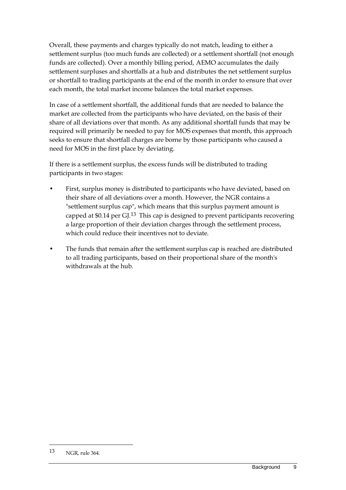Overall, these payments and charges typically do not match, leading to either a settlement surplus (too much funds are collected) or a settlement shortfall (not enough funds are collected). Over a monthly billing period, AEMO accumulates the daily settlement surpluses and shortfalls at a hub and distributes the net settlement surplus or shortfall to trading participants at the end of the month in order to ensure that over each month, the total market income balances the total market expenses.

In case of a settlement shortfall, the additional funds that are needed to balance the market are collected from the participants who have deviated, on the basis of their share of all deviations over that month. As any additional shortfall funds that may be required will primarily be needed to pay for MOS expenses that month, this approach seeks to ensure that shortfall charges are borne by those participants who caused a need for MOS in the first place by deviating.

If there is a settlement surplus, the excess funds will be distributed to trading participants in two stages:

- First, surplus money is distributed to participants who have deviated, based on their share of all deviations over a month. However, the NGR contains a "settlement surplus cap", which means that this surplus payment amount is capped at \$0.14 per  $GI^{13}$  $GI^{13}$  $GI^{13}$ . This cap is designed to prevent participants recovering a large proportion of their deviation charges through the settlement process, which could reduce their incentives not to deviate.
- The funds that remain after the settlement surplus cap is reached are distributed to all trading participants, based on their proportional share of the month's withdrawals at the hub.

<span id="page-12-0"></span><sup>13</sup> NGR, rule 364.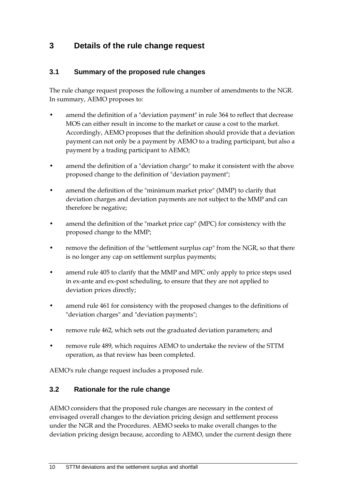# <span id="page-13-0"></span>**3 Details of the rule change request**

### <span id="page-13-1"></span>**3.1 Summary of the proposed rule changes**

The rule change request proposes the following a number of amendments to the NGR. In summary, AEMO proposes to:

- amend the definition of a "deviation payment" in rule 364 to reflect that decrease MOS can either result in income to the market or cause a cost to the market. Accordingly, AEMO proposes that the definition should provide that a deviation payment can not only be a payment by AEMO to a trading participant, but also a payment by a trading participant to AEMO;
- amend the definition of a "deviation charge" to make it consistent with the above proposed change to the definition of "deviation payment";
- amend the definition of the "minimum market price" (MMP) to clarify that deviation charges and deviation payments are not subject to the MMP and can therefore be negative;
- amend the definition of the "market price cap" (MPC) for consistency with the proposed change to the MMP;
- remove the definition of the "settlement surplus cap" from the NGR, so that there is no longer any cap on settlement surplus payments;
- amend rule 405 to clarify that the MMP and MPC only apply to price steps used in ex-ante and ex-post scheduling, to ensure that they are not applied to deviation prices directly;
- amend rule 461 for consistency with the proposed changes to the definitions of "deviation charges" and "deviation payments";
- remove rule 462, which sets out the graduated deviation parameters; and
- remove rule 489, which requires AEMO to undertake the review of the STTM operation, as that review has been completed.

AEMO's rule change request includes a proposed rule.

### <span id="page-13-2"></span>**3.2 Rationale for the rule change**

AEMO considers that the proposed rule changes are necessary in the context of envisaged overall changes to the deviation pricing design and settlement process under the NGR and the Procedures. AEMO seeks to make overall changes to the deviation pricing design because, according to AEMO, under the current design there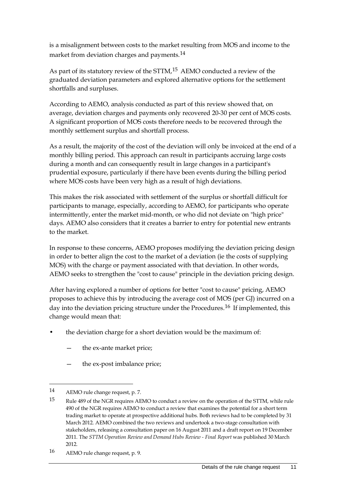is a misalignment between costs to the market resulting from MOS and income to the market from deviation charges and payments.[14](#page-14-0)

As part of its statutory review of the STTM,<sup>[15](#page-14-1)</sup> AEMO conducted a review of the graduated deviation parameters and explored alternative options for the settlement shortfalls and surpluses.

According to AEMO, analysis conducted as part of this review showed that, on average, deviation charges and payments only recovered 20-30 per cent of MOS costs. A significant proportion of MOS costs therefore needs to be recovered through the monthly settlement surplus and shortfall process.

As a result, the majority of the cost of the deviation will only be invoiced at the end of a monthly billing period. This approach can result in participants accruing large costs during a month and can consequently result in large changes in a participant's prudential exposure, particularly if there have been events during the billing period where MOS costs have been very high as a result of high deviations.

This makes the risk associated with settlement of the surplus or shortfall difficult for participants to manage, especially, according to AEMO, for participants who operate intermittently, enter the market mid-month, or who did not deviate on "high price" days. AEMO also considers that it creates a barrier to entry for potential new entrants to the market.

In response to these concerns, AEMO proposes modifying the deviation pricing design in order to better align the cost to the market of a deviation (ie the costs of supplying MOS) with the charge or payment associated with that deviation. In other words, AEMO seeks to strengthen the "cost to cause" principle in the deviation pricing design.

After having explored a number of options for better "cost to cause" pricing, AEMO proposes to achieve this by introducing the average cost of MOS (per GJ) incurred on a day into the deviation pricing structure under the Procedures.<sup>[16](#page-14-2)</sup> If implemented, this change would mean that:

- the deviation charge for a short deviation would be the maximum of:
	- the ex-ante market price;
	- the ex-post imbalance price;

<span id="page-14-0"></span><sup>14</sup> AEMO rule change request, p. 7.

<span id="page-14-1"></span><sup>15</sup> Rule 489 of the NGR requires AEMO to conduct a review on the operation of the STTM, while rule 490 of the NGR requires AEMO to conduct a review that examines the potential for a short term trading market to operate at prospective additional hubs. Both reviews had to be completed by 31 March 2012. AEMO combined the two reviews and undertook a two-stage consultation with stakeholders, releasing a consultation paper on 16 August 2011 and a draft report on 19 December 2011. The *STTM Operation Review and Demand Hubs Review - Final Report* was published 30 March 2012.

<span id="page-14-2"></span><sup>16</sup> AEMO rule change request, p. 9.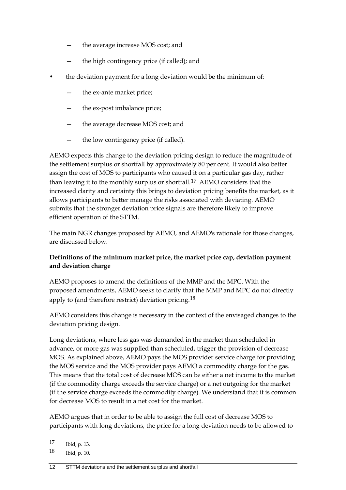- the average increase MOS cost; and
- the high contingency price (if called); and
- the deviation payment for a long deviation would be the minimum of:
	- the ex-ante market price;
	- the ex-post imbalance price;
	- the average decrease MOS cost; and
	- the low contingency price (if called).

AEMO expects this change to the deviation pricing design to reduce the magnitude of the settlement surplus or shortfall by approximately 80 per cent. It would also better assign the cost of MOS to participants who caused it on a particular gas day, rather than leaving it to the monthly surplus or shortfall.<sup>[17](#page-15-0)</sup> AEMO considers that the increased clarity and certainty this brings to deviation pricing benefits the market, as it allows participants to better manage the risks associated with deviating. AEMO submits that the stronger deviation price signals are therefore likely to improve efficient operation of the STTM.

The main NGR changes proposed by AEMO, and AEMO's rationale for those changes, are discussed below.

### **Definitions of the minimum market price, the market price cap, deviation payment and deviation charge**

AEMO proposes to amend the definitions of the MMP and the MPC. With the proposed amendments, AEMO seeks to clarify that the MMP and MPC do not directly apply to (and therefore restrict) deviation pricing.[18](#page-15-1)

AEMO considers this change is necessary in the context of the envisaged changes to the deviation pricing design.

Long deviations, where less gas was demanded in the market than scheduled in advance, or more gas was supplied than scheduled, trigger the provision of decrease MOS. As explained above, AEMO pays the MOS provider service charge for providing the MOS service and the MOS provider pays AEMO a commodity charge for the gas. This means that the total cost of decrease MOS can be either a net income to the market (if the commodity charge exceeds the service charge) or a net outgoing for the market (if the service charge exceeds the commodity charge). We understand that it is common for decrease MOS to result in a net cost for the market.

AEMO argues that in order to be able to assign the full cost of decrease MOS to participants with long deviations, the price for a long deviation needs to be allowed to

<span id="page-15-0"></span><sup>17</sup> Ibid, p. 13.

<span id="page-15-1"></span><sup>18</sup> Ibid, p. 10.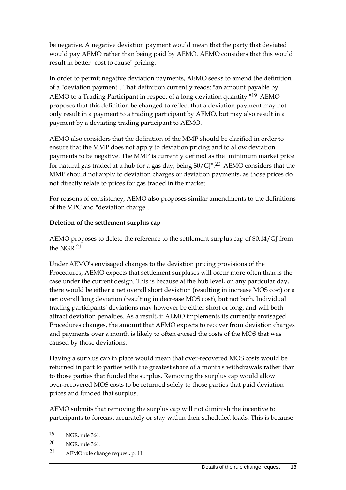be negative. A negative deviation payment would mean that the party that deviated would pay AEMO rather than being paid by AEMO. AEMO considers that this would result in better "cost to cause" pricing.

In order to permit negative deviation payments, AEMO seeks to amend the definition of a "deviation payment". That definition currently reads: "an amount payable by AEMO to a Trading Participant in respect of a long deviation quantity."[19](#page-16-0) AEMO proposes that this definition be changed to reflect that a deviation payment may not only result in a payment to a trading participant by AEMO, but may also result in a payment by a deviating trading participant to AEMO.

AEMO also considers that the definition of the MMP should be clarified in order to ensure that the MMP does not apply to deviation pricing and to allow deviation payments to be negative. The MMP is currently defined as the "minimum market price for natural gas traded at a hub for a gas day, being \$0/GJ".[20](#page-16-1) AEMO considers that the MMP should not apply to deviation charges or deviation payments, as those prices do not directly relate to prices for gas traded in the market.

For reasons of consistency, AEMO also proposes similar amendments to the definitions of the MPC and "deviation charge".

### **Deletion of the settlement surplus cap**

AEMO proposes to delete the reference to the settlement surplus cap of \$0.14/GJ from the NGR.[21](#page-16-2)

Under AEMO's envisaged changes to the deviation pricing provisions of the Procedures, AEMO expects that settlement surpluses will occur more often than is the case under the current design. This is because at the hub level, on any particular day, there would be either a net overall short deviation (resulting in increase MOS cost) or a net overall long deviation (resulting in decrease MOS cost), but not both. Individual trading participants' deviations may however be either short or long, and will both attract deviation penalties. As a result, if AEMO implements its currently envisaged Procedures changes, the amount that AEMO expects to recover from deviation charges and payments over a month is likely to often exceed the costs of the MOS that was caused by those deviations.

Having a surplus cap in place would mean that over-recovered MOS costs would be returned in part to parties with the greatest share of a month's withdrawals rather than to those parties that funded the surplus. Removing the surplus cap would allow over-recovered MOS costs to be returned solely to those parties that paid deviation prices and funded that surplus.

AEMO submits that removing the surplus cap will not diminish the incentive to participants to forecast accurately or stay within their scheduled loads. This is because

 $\overline{a}$ 

<span id="page-16-2"></span>21 AEMO rule change request, p. 11.

<span id="page-16-0"></span><sup>19</sup> NGR, rule 364.

<span id="page-16-1"></span><sup>20</sup> NGR, rule 364.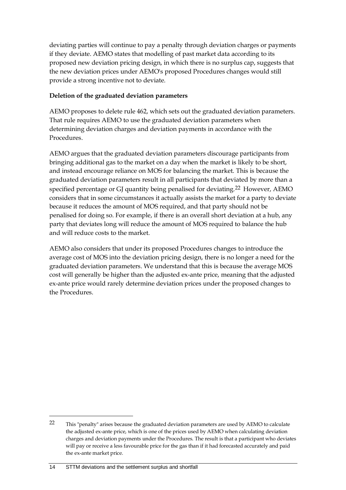deviating parties will continue to pay a penalty through deviation charges or payments if they deviate. AEMO states that modelling of past market data according to its proposed new deviation pricing design, in which there is no surplus cap, suggests that the new deviation prices under AEMO's proposed Procedures changes would still provide a strong incentive not to deviate.

### **Deletion of the graduated deviation parameters**

AEMO proposes to delete rule 462, which sets out the graduated deviation parameters. That rule requires AEMO to use the graduated deviation parameters when determining deviation charges and deviation payments in accordance with the Procedures.

AEMO argues that the graduated deviation parameters discourage participants from bringing additional gas to the market on a day when the market is likely to be short, and instead encourage reliance on MOS for balancing the market. This is because the graduated deviation parameters result in all participants that deviated by more than a specified percentage or GJ quantity being penalised for deviating.<sup>[22](#page-17-0)</sup> However, AEMO considers that in some circumstances it actually assists the market for a party to deviate because it reduces the amount of MOS required, and that party should not be penalised for doing so. For example, if there is an overall short deviation at a hub, any party that deviates long will reduce the amount of MOS required to balance the hub and will reduce costs to the market.

AEMO also considers that under its proposed Procedures changes to introduce the average cost of MOS into the deviation pricing design, there is no longer a need for the graduated deviation parameters. We understand that this is because the average MOS cost will generally be higher than the adjusted ex-ante price, meaning that the adjusted ex-ante price would rarely determine deviation prices under the proposed changes to the Procedures.

<span id="page-17-0"></span><sup>22</sup> This "penalty" arises because the graduated deviation parameters are used by AEMO to calculate the adjusted ex-ante price, which is one of the prices used by AEMO when calculating deviation charges and deviation payments under the Procedures. The result is that a participant who deviates will pay or receive a less favourable price for the gas than if it had forecasted accurately and paid the ex-ante market price.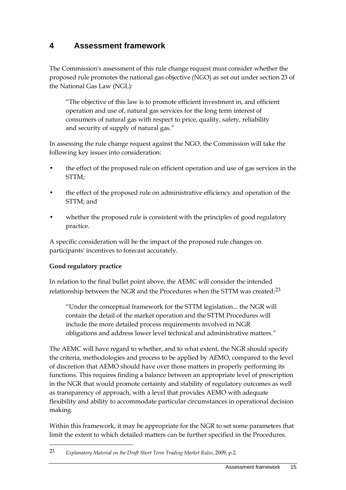# <span id="page-18-0"></span>**4 Assessment framework**

The Commission's assessment of this rule change request must consider whether the proposed rule promotes the national gas objective (NGO) as set out under section 23 of the National Gas Law (NGL):

"The objective of this law is to promote efficient investment in, and efficient operation and use of, natural gas services for the long term interest of consumers of natural gas with respect to price, quality, safety, reliability and security of supply of natural gas."

In assessing the rule change request against the NGO, the Commission will take the following key issues into consideration:

- the effect of the proposed rule on efficient operation and use of gas services in the STTM;
- the effect of the proposed rule on administrative efficiency and operation of the STTM; and
- whether the proposed rule is consistent with the principles of good regulatory practice.

A specific consideration will be the impact of the proposed rule changes on participants' incentives to forecast accurately.

### **Good regulatory practice**

 $\overline{a}$ 

In relation to the final bullet point above, the AEMC will consider the intended relationship between the NGR and the Procedures when the STTM was created:<sup>[23](#page-18-1)</sup>

"Under the conceptual framework for the STTM legislation... the NGR will contain the detail of the market operation and the STTM Procedures will include the more detailed process requirements involved in NGR obligations and address lower level technical and administrative matters."

The AEMC will have regard to whether, and to what extent, the NGR should specify the criteria, methodologies and process to be applied by AEMO, compared to the level of discretion that AEMO should have over those matters in properly performing its functions. This requires finding a balance between an appropriate level of prescription in the NGR that would promote certainty and stability of regulatory outcomes as well as transparency of approach, with a level that provides AEMO with adequate flexibility and ability to accommodate particular circumstances in operational decision making.

Within this framework, it may be appropriate for the NGR to set some parameters that limit the extent to which detailed matters can be further specified in the Procedures.

<span id="page-18-1"></span><sup>23</sup> *Explanatory Material on the Draft Short Term Trading Market Rules*, 2009, p.2.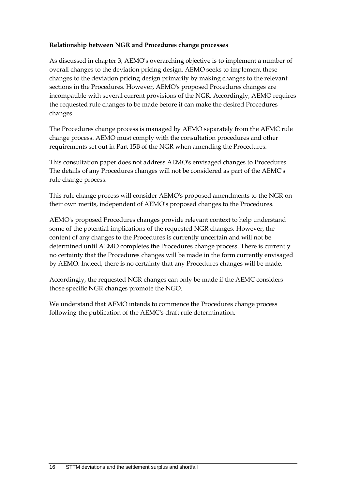### **Relationship between NGR and Procedures change processes**

As discussed in chapter 3, AEMO's overarching objective is to implement a number of overall changes to the deviation pricing design. AEMO seeks to implement these changes to the deviation pricing design primarily by making changes to the relevant sections in the Procedures. However, AEMO's proposed Procedures changes are incompatible with several current provisions of the NGR. Accordingly, AEMO requires the requested rule changes to be made before it can make the desired Procedures changes.

The Procedures change process is managed by AEMO separately from the AEMC rule change process. AEMO must comply with the consultation procedures and other requirements set out in Part 15B of the NGR when amending the Procedures.

This consultation paper does not address AEMO's envisaged changes to Procedures. The details of any Procedures changes will not be considered as part of the AEMC's rule change process.

This rule change process will consider AEMO's proposed amendments to the NGR on their own merits, independent of AEMO's proposed changes to the Procedures.

AEMO's proposed Procedures changes provide relevant context to help understand some of the potential implications of the requested NGR changes. However, the content of any changes to the Procedures is currently uncertain and will not be determined until AEMO completes the Procedures change process. There is currently no certainty that the Procedures changes will be made in the form currently envisaged by AEMO. Indeed, there is no certainty that any Procedures changes will be made.

Accordingly, the requested NGR changes can only be made if the AEMC considers those specific NGR changes promote the NGO.

We understand that AEMO intends to commence the Procedures change process following the publication of the AEMC's draft rule determination.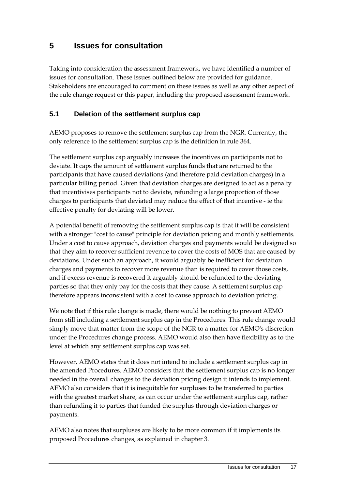# <span id="page-20-0"></span>**5 Issues for consultation**

Taking into consideration the assessment framework, we have identified a number of issues for consultation. These issues outlined below are provided for guidance. Stakeholders are encouraged to comment on these issues as well as any other aspect of the rule change request or this paper, including the proposed assessment framework.

### <span id="page-20-1"></span>**5.1 Deletion of the settlement surplus cap**

AEMO proposes to remove the settlement surplus cap from the NGR. Currently, the only reference to the settlement surplus cap is the definition in rule 364.

The settlement surplus cap arguably increases the incentives on participants not to deviate. It caps the amount of settlement surplus funds that are returned to the participants that have caused deviations (and therefore paid deviation charges) in a particular billing period. Given that deviation charges are designed to act as a penalty that incentivises participants not to deviate, refunding a large proportion of those charges to participants that deviated may reduce the effect of that incentive - ie the effective penalty for deviating will be lower.

A potential benefit of removing the settlement surplus cap is that it will be consistent with a stronger "cost to cause" principle for deviation pricing and monthly settlements. Under a cost to cause approach, deviation charges and payments would be designed so that they aim to recover sufficient revenue to cover the costs of MOS that are caused by deviations. Under such an approach, it would arguably be inefficient for deviation charges and payments to recover more revenue than is required to cover those costs, and if excess revenue is recovered it arguably should be refunded to the deviating parties so that they only pay for the costs that they cause. A settlement surplus cap therefore appears inconsistent with a cost to cause approach to deviation pricing.

We note that if this rule change is made, there would be nothing to prevent AEMO from still including a settlement surplus cap in the Procedures. This rule change would simply move that matter from the scope of the NGR to a matter for AEMO's discretion under the Procedures change process. AEMO would also then have flexibility as to the level at which any settlement surplus cap was set.

However, AEMO states that it does not intend to include a settlement surplus cap in the amended Procedures. AEMO considers that the settlement surplus cap is no longer needed in the overall changes to the deviation pricing design it intends to implement. AEMO also considers that it is inequitable for surpluses to be transferred to parties with the greatest market share, as can occur under the settlement surplus cap, rather than refunding it to parties that funded the surplus through deviation charges or payments.

AEMO also notes that surpluses are likely to be more common if it implements its proposed Procedures changes, as explained in chapter 3.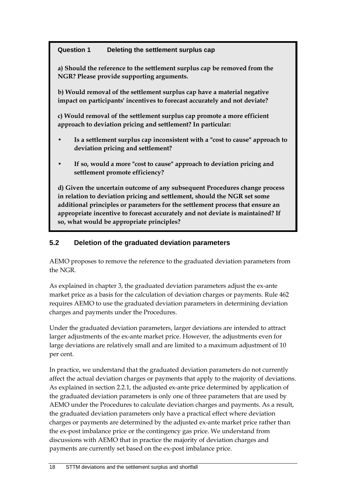### **Question 1 Deleting the settlement surplus cap**

**a) Should the reference to the settlement surplus cap be removed from the NGR? Please provide supporting arguments.**

**b) Would removal of the settlement surplus cap have a material negative impact on participants' incentives to forecast accurately and not deviate?**

**c) Would removal of the settlement surplus cap promote a more efficient approach to deviation pricing and settlement? In particular:**

- **• Is a settlement surplus cap inconsistent with a "cost to cause" approach to deviation pricing and settlement?**
- **• If so, would a more "cost to cause" approach to deviation pricing and settlement promote efficiency?**

**d) Given the uncertain outcome of any subsequent Procedures change process in relation to deviation pricing and settlement, should the NGR set some additional principles or parameters for the settlement process that ensure an appropriate incentive to forecast accurately and not deviate is maintained? If so, what would be appropriate principles?**

# <span id="page-21-0"></span>**5.2 Deletion of the graduated deviation parameters**

AEMO proposes to remove the reference to the graduated deviation parameters from the NGR.

As explained in chapter 3, the graduated deviation parameters adjust the ex-ante market price as a basis for the calculation of deviation charges or payments. Rule 462 requires AEMO to use the graduated deviation parameters in determining deviation charges and payments under the Procedures.

Under the graduated deviation parameters, larger deviations are intended to attract larger adjustments of the ex-ante market price. However, the adjustments even for large deviations are relatively small and are limited to a maximum adjustment of 10 per cent.

In practice, we understand that the graduated deviation parameters do not currently affect the actual deviation charges or payments that apply to the majority of deviations. As explained in section 2.2.1, the adjusted ex-ante price determined by application of the graduated deviation parameters is only one of three parameters that are used by AEMO under the Procedures to calculate deviation charges and payments. As a result, the graduated deviation parameters only have a practical effect where deviation charges or payments are determined by the adjusted ex-ante market price rather than the ex-post imbalance price or the contingency gas price. We understand from discussions with AEMO that in practice the majority of deviation charges and payments are currently set based on the ex-post imbalance price.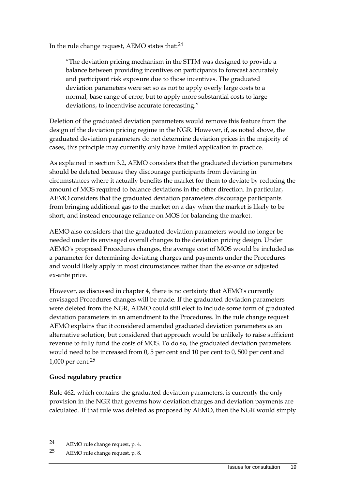In the rule change request, AEMO states that:[24](#page-22-0)

"The deviation pricing mechanism in the STTM was designed to provide a balance between providing incentives on participants to forecast accurately and participant risk exposure due to those incentives. The graduated deviation parameters were set so as not to apply overly large costs to a normal, base range of error, but to apply more substantial costs to large deviations, to incentivise accurate forecasting."

Deletion of the graduated deviation parameters would remove this feature from the design of the deviation pricing regime in the NGR. However, if, as noted above, the graduated deviation parameters do not determine deviation prices in the majority of cases, this principle may currently only have limited application in practice.

As explained in section 3.2, AEMO considers that the graduated deviation parameters should be deleted because they discourage participants from deviating in circumstances where it actually benefits the market for them to deviate by reducing the amount of MOS required to balance deviations in the other direction. In particular, AEMO considers that the graduated deviation parameters discourage participants from bringing additional gas to the market on a day when the market is likely to be short, and instead encourage reliance on MOS for balancing the market.

AEMO also considers that the graduated deviation parameters would no longer be needed under its envisaged overall changes to the deviation pricing design. Under AEMO's proposed Procedures changes, the average cost of MOS would be included as a parameter for determining deviating charges and payments under the Procedures and would likely apply in most circumstances rather than the ex-ante or adjusted ex-ante price.

However, as discussed in chapter 4, there is no certainty that AEMO's currently envisaged Procedures changes will be made. If the graduated deviation parameters were deleted from the NGR, AEMO could still elect to include some form of graduated deviation parameters in an amendment to the Procedures. In the rule change request AEMO explains that it considered amended graduated deviation parameters as an alternative solution, but considered that approach would be unlikely to raise sufficient revenue to fully fund the costs of MOS. To do so, the graduated deviation parameters would need to be increased from 0, 5 per cent and 10 per cent to 0, 500 per cent and 1,000 per cent.[25](#page-22-1)

#### **Good regulatory practice**

Rule 462, which contains the graduated deviation parameters, is currently the only provision in the NGR that governs how deviation charges and deviation payments are calculated. If that rule was deleted as proposed by AEMO, then the NGR would simply

<span id="page-22-0"></span><sup>24</sup> AEMO rule change request, p. 4.

<span id="page-22-1"></span><sup>25</sup> AEMO rule change request, p. 8.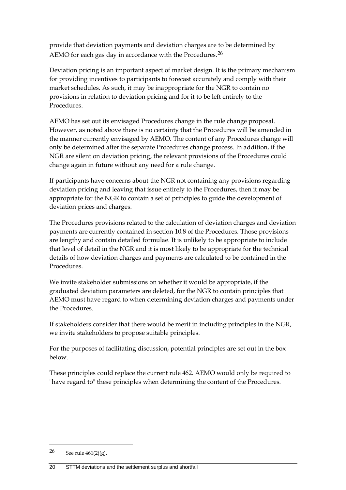provide that deviation payments and deviation charges are to be determined by AEMO for each gas day in accordance with the Procedures.<sup>[26](#page-23-0)</sup>

Deviation pricing is an important aspect of market design. It is the primary mechanism for providing incentives to participants to forecast accurately and comply with their market schedules. As such, it may be inappropriate for the NGR to contain no provisions in relation to deviation pricing and for it to be left entirely to the Procedures.

AEMO has set out its envisaged Procedures change in the rule change proposal. However, as noted above there is no certainty that the Procedures will be amended in the manner currently envisaged by AEMO. The content of any Procedures change will only be determined after the separate Procedures change process. In addition, if the NGR are silent on deviation pricing, the relevant provisions of the Procedures could change again in future without any need for a rule change.

If participants have concerns about the NGR not containing any provisions regarding deviation pricing and leaving that issue entirely to the Procedures, then it may be appropriate for the NGR to contain a set of principles to guide the development of deviation prices and charges.

The Procedures provisions related to the calculation of deviation charges and deviation payments are currently contained in section 10.8 of the Procedures. Those provisions are lengthy and contain detailed formulae. It is unlikely to be appropriate to include that level of detail in the NGR and it is most likely to be appropriate for the technical details of how deviation charges and payments are calculated to be contained in the Procedures.

We invite stakeholder submissions on whether it would be appropriate, if the graduated deviation parameters are deleted, for the NGR to contain principles that AEMO must have regard to when determining deviation charges and payments under the Procedures.

If stakeholders consider that there would be merit in including principles in the NGR, we invite stakeholders to propose suitable principles.

For the purposes of facilitating discussion, potential principles are set out in the box below.

These principles could replace the current rule 462. AEMO would only be required to "have regard to" these principles when determining the content of the Procedures.

<span id="page-23-0"></span><sup>26</sup> See rule  $461(2)(g)$ .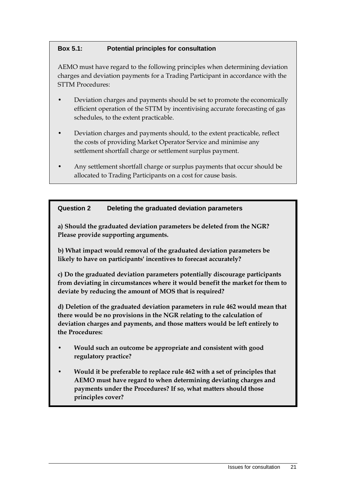### **Box 5.1: Potential principles for consultation**

AEMO must have regard to the following principles when determining deviation charges and deviation payments for a Trading Participant in accordance with the STTM Procedures:

- Deviation charges and payments should be set to promote the economically efficient operation of the STTM by incentivising accurate forecasting of gas schedules, to the extent practicable.
- Deviation charges and payments should, to the extent practicable, reflect the costs of providing Market Operator Service and minimise any settlement shortfall charge or settlement surplus payment.
- Any settlement shortfall charge or surplus payments that occur should be allocated to Trading Participants on a cost for cause basis.

### **Question 2 Deleting the graduated deviation parameters**

**a) Should the graduated deviation parameters be deleted from the NGR? Please provide supporting arguments.**

**b) What impact would removal of the graduated deviation parameters be likely to have on participants' incentives to forecast accurately?**

**c) Do the graduated deviation parameters potentially discourage participants from deviating in circumstances where it would benefit the market for them to deviate by reducing the amount of MOS that is required?**

**d) Deletion of the graduated deviation parameters in rule 462 would mean that there would be no provisions in the NGR relating to the calculation of deviation charges and payments, and those matters would be left entirely to the Procedures:**

- **• Would such an outcome be appropriate and consistent with good regulatory practice?**
- **• Would it be preferable to replace rule 462 with a set of principles that AEMO must have regard to when determining deviating charges and payments under the Procedures? If so, what matters should those principles cover?**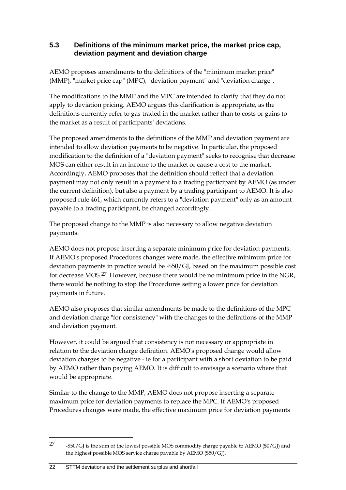### <span id="page-25-0"></span>**5.3 Definitions of the minimum market price, the market price cap, deviation payment and deviation charge**

AEMO proposes amendments to the definitions of the "minimum market price" (MMP), "market price cap" (MPC), "deviation payment" and "deviation charge".

The modifications to the MMP and the MPC are intended to clarify that they do not apply to deviation pricing. AEMO argues this clarification is appropriate, as the definitions currently refer to gas traded in the market rather than to costs or gains to the market as a result of participants' deviations.

The proposed amendments to the definitions of the MMP and deviation payment are intended to allow deviation payments to be negative. In particular, the proposed modification to the definition of a "deviation payment" seeks to recognise that decrease MOS can either result in an income to the market or cause a cost to the market. Accordingly, AEMO proposes that the definition should reflect that a deviation payment may not only result in a payment to a trading participant by AEMO (as under the current definition), but also a payment by a trading participant to AEMO. It is also proposed rule 461, which currently refers to a "deviation payment" only as an amount payable to a trading participant, be changed accordingly.

The proposed change to the MMP is also necessary to allow negative deviation payments.

AEMO does not propose inserting a separate minimum price for deviation payments. If AEMO's proposed Procedures changes were made, the effective minimum price for deviation payments in practice would be -\$50/GJ, based on the maximum possible cost for decrease MOS.[27](#page-25-1) However, because there would be no minimum price in the NGR, there would be nothing to stop the Procedures setting a lower price for deviation payments in future.

AEMO also proposes that similar amendments be made to the definitions of the MPC and deviation charge "for consistency" with the changes to the definitions of the MMP and deviation payment.

However, it could be argued that consistency is not necessary or appropriate in relation to the deviation charge definition. AEMO's proposed change would allow deviation charges to be negative - ie for a participant with a short deviation to be paid by AEMO rather than paying AEMO. It is difficult to envisage a scenario where that would be appropriate.

Similar to the change to the MMP, AEMO does not propose inserting a separate maximum price for deviation payments to replace the MPC. If AEMO's proposed Procedures changes were made, the effective maximum price for deviation payments

<span id="page-25-1"></span><sup>27</sup> -\$50/GJ is the sum of the lowest possible MOS commodity charge payable to AEMO (\$0/GJ) and the highest possible MOS service charge payable by AEMO (\$50/GJ).

<sup>22</sup> STTM deviations and the settlement surplus and shortfall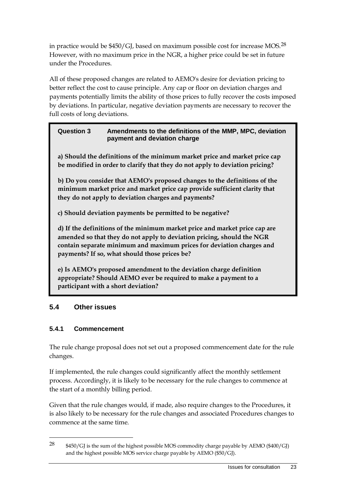in practice would be  $$450/G$ , based on maximum possible cost for increase MOS.<sup>[28](#page-26-1)</sup> However, with no maximum price in the NGR, a higher price could be set in future under the Procedures.

All of these proposed changes are related to AEMO's desire for deviation pricing to better reflect the cost to cause principle. Any cap or floor on deviation charges and payments potentially limits the ability of those prices to fully recover the costs imposed by deviations. In particular, negative deviation payments are necessary to recover the full costs of long deviations.

### **Question 3 Amendments to the definitions of the MMP, MPC, deviation payment and deviation charge**

**a) Should the definitions of the minimum market price and market price cap be modified in order to clarify that they do not apply to deviation pricing?** 

**b) Do you consider that AEMO's proposed changes to the definitions of the minimum market price and market price cap provide sufficient clarity that they do not apply to deviation charges and payments?**

**c) Should deviation payments be permitted to be negative?** 

**d) If the definitions of the minimum market price and market price cap are amended so that they do not apply to deviation pricing, should the NGR contain separate minimum and maximum prices for deviation charges and payments? If so, what should those prices be?**

**e) Is AEMO's proposed amendment to the deviation charge definition appropriate? Should AEMO ever be required to make a payment to a participant with a short deviation?**

# <span id="page-26-0"></span>**5.4 Other issues**

# **5.4.1 Commencement**

 $\overline{a}$ 

The rule change proposal does not set out a proposed commencement date for the rule changes.

If implemented, the rule changes could significantly affect the monthly settlement process. Accordingly, it is likely to be necessary for the rule changes to commence at the start of a monthly billing period.

Given that the rule changes would, if made, also require changes to the Procedures, it is also likely to be necessary for the rule changes and associated Procedures changes to commence at the same time.

<span id="page-26-1"></span><sup>&</sup>lt;sup>28</sup>  $$450/G$  is the sum of the highest possible MOS commodity charge payable by AEMO (\$400/GJ) and the highest possible MOS service charge payable by AEMO (\$50/GJ).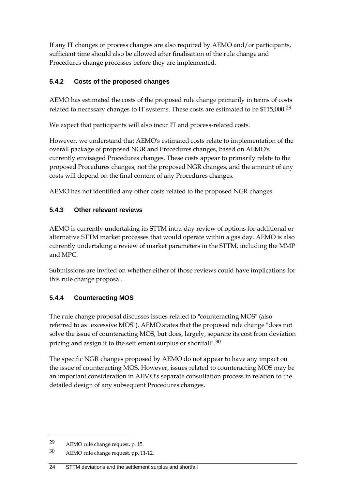If any IT changes or process changes are also required by AEMO and/or participants, sufficient time should also be allowed after finalisation of the rule change and Procedures change processes before they are implemented.

### **5.4.2 Costs of the proposed changes**

AEMO has estimated the costs of the proposed rule change primarily in terms of costs related to necessary changes to IT systems. These costs are estimated to be \$115,000.[29](#page-27-0)

We expect that participants will also incur IT and process-related costs.

However, we understand that AEMO's estimated costs relate to implementation of the overall package of proposed NGR and Procedures changes, based on AEMO's currently envisaged Procedures changes. These costs appear to primarily relate to the proposed Procedures changes, not the proposed NGR changes, and the amount of any costs will depend on the final content of any Procedures changes.

AEMO has not identified any other costs related to the proposed NGR changes.

# **5.4.3 Other relevant reviews**

AEMO is currently undertaking its STTM intra-day review of options for additional or alternative STTM market processes that would operate within a gas day. AEMO is also currently undertaking a review of market parameters in the STTM, including the MMP and MPC.

Submissions are invited on whether either of those reviews could have implications for this rule change proposal.

# **5.4.4 Counteracting MOS**

The rule change proposal discusses issues related to "counteracting MOS" (also referred to as "excessive MOS"). AEMO states that the proposed rule change "does not solve the issue of counteracting MOS, but does, largely, separate its cost from deviation pricing and assign it to the settlement surplus or shortfall".[30](#page-27-1)

The specific NGR changes proposed by AEMO do not appear to have any impact on the issue of counteracting MOS. However, issues related to counteracting MOS may be an important consideration in AEMO's separate consultation process in relation to the detailed design of any subsequent Procedures changes.

<span id="page-27-0"></span><sup>29</sup> AEMO rule change request, p. 15.

<span id="page-27-1"></span><sup>30</sup> AEMO rule change request, pp. 11-12.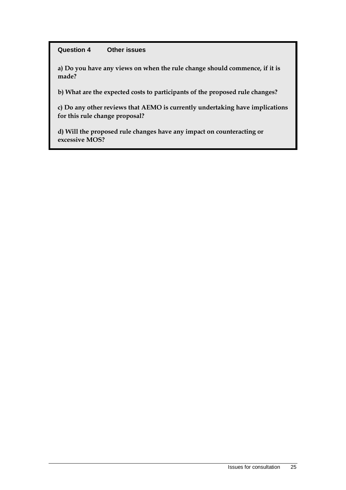#### **Question 4 Other issues**

**a) Do you have any views on when the rule change should commence, if it is made?**

**b) What are the expected costs to participants of the proposed rule changes?**

**c) Do any other reviews that AEMO is currently undertaking have implications for this rule change proposal?**

**d) Will the proposed rule changes have any impact on counteracting or excessive MOS?**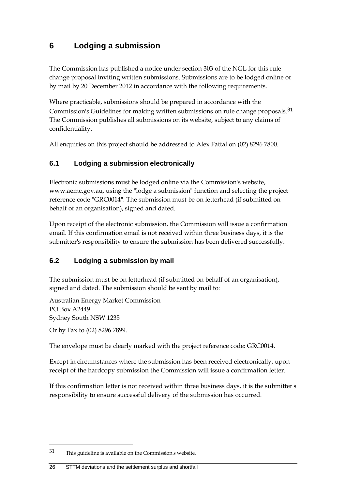# <span id="page-29-0"></span>**6 Lodging a submission**

The Commission has published a notice under section 303 of the NGL for this rule change proposal inviting written submissions. Submissions are to be lodged online or by mail by 20 December 2012 in accordance with the following requirements.

Where practicable, submissions should be prepared in accordance with the Commission's Guidelines for making written submissions on rule change proposals.[31](#page-29-3) The Commission publishes all submissions on its website, subject to any claims of confidentiality.

All enquiries on this project should be addressed to Alex Fattal on (02) 8296 7800.

### <span id="page-29-1"></span>**6.1 Lodging a submission electronically**

Electronic submissions must be lodged online via the Commission's website, www.aemc.gov.au, using the "lodge a submission" function and selecting the project reference code "GRC0014". The submission must be on letterhead (if submitted on behalf of an organisation), signed and dated.

Upon receipt of the electronic submission, the Commission will issue a confirmation email. If this confirmation email is not received within three business days, it is the submitter's responsibility to ensure the submission has been delivered successfully.

### <span id="page-29-2"></span>**6.2 Lodging a submission by mail**

The submission must be on letterhead (if submitted on behalf of an organisation), signed and dated. The submission should be sent by mail to:

Australian Energy Market Commission PO Box A2449 Sydney South NSW 1235

Or by Fax to (02) 8296 7899.

 $\overline{a}$ 

The envelope must be clearly marked with the project reference code: GRC0014.

Except in circumstances where the submission has been received electronically, upon receipt of the hardcopy submission the Commission will issue a confirmation letter.

If this confirmation letter is not received within three business days, it is the submitter's responsibility to ensure successful delivery of the submission has occurred.

<span id="page-29-3"></span><sup>31</sup> This guideline is available on the Commission's website.